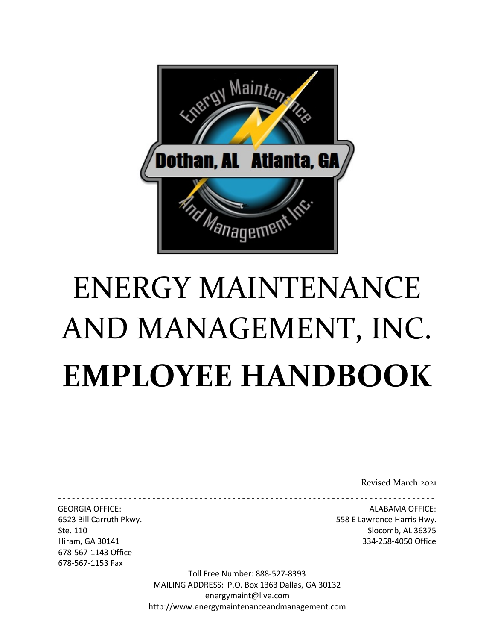

# ENERGY MAINTENANCE AND MANAGEMENT, INC. **EMPLOYEE HANDBOOK**

Revised March 2021

- - - - - - - - - - - - - - - - - - - - - - - - - - - - - - - - - - - - - - - - - - - - - - - - - - - - - - - - - - - - - - - - - - - - - - - - - - - - - - - -

678-567-1143 Office 678-567-1153 Fax

GEORGIA OFFICE: ALABAMA OFFICE: 6523 Bill Carruth Pkwy. 558 E Lawrence Harris Hwy. Ste. 110 Slocomb, AL 36375 Hiram, GA 30141 334-258-4050 Office

> Toll Free Number: 888-527-8393 MAILING ADDRESS: P.O. Box 1363 Dallas, GA 30132 energymaint@live.com http://www.energymaintenanceandmanagement.com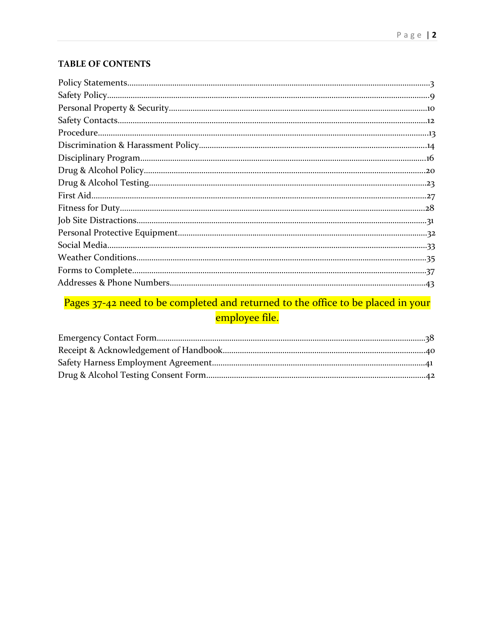#### **TABLE OF CONTENTS**

#### Pages 37-42 need to be completed and returned to the office to be placed in your employee file.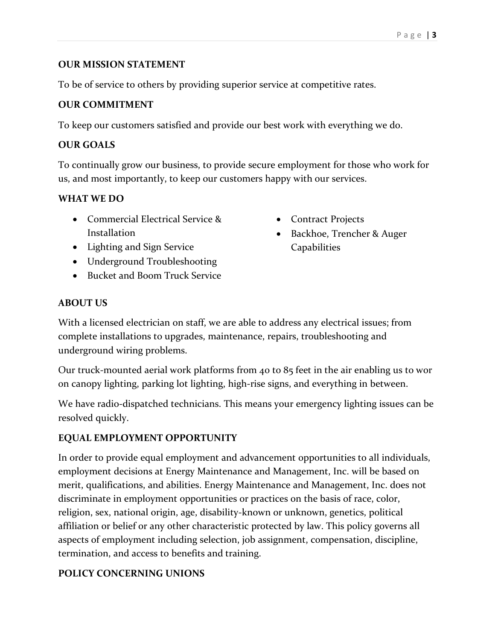#### **OUR MISSION STATEMENT**

To be of service to others by providing superior service at competitive rates.

#### **OUR COMMITMENT**

To keep our customers satisfied and provide our best work with everything we do.

#### **OUR GOALS**

To continually grow our business, to provide secure employment for those who work for us, and most importantly, to keep our customers happy with our services.

#### **WHAT WE DO**

- Commercial Electrical Service & **Installation**
- Lighting and Sign Service
- Underground Troubleshooting
- Bucket and Boom Truck Service
- **ABOUT US**

With a licensed electrician on staff, we are able to address any electrical issues; from complete installations to upgrades, maintenance, repairs, troubleshooting and underground wiring problems.

Our truck-mounted aerial work platforms from 40 to 85 feet in the air enabling us to wor on canopy lighting, parking lot lighting, high-rise signs, and everything in between.

We have radio-dispatched technicians. This means your emergency lighting issues can be resolved quickly.

#### **EQUAL EMPLOYMENT OPPORTUNITY**

In order to provide equal employment and advancement opportunities to all individuals, employment decisions at Energy Maintenance and Management, Inc. will be based on merit, qualifications, and abilities. Energy Maintenance and Management, Inc. does not discriminate in employment opportunities or practices on the basis of race, color, religion, sex, national origin, age, disability-known or unknown, genetics, political affiliation or belief or any other characteristic protected by law. This policy governs all aspects of employment including selection, job assignment, compensation, discipline, termination, and access to benefits and training.

#### **POLICY CONCERNING UNIONS**

- Contract Projects
- Backhoe, Trencher & Auger Capabilities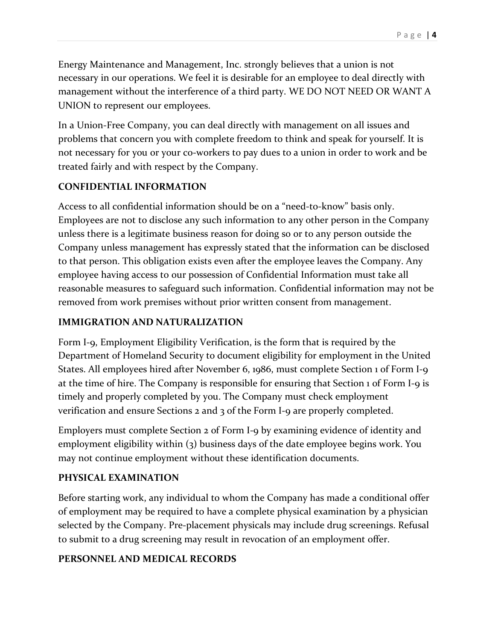Energy Maintenance and Management, Inc. strongly believes that a union is not necessary in our operations. We feel it is desirable for an employee to deal directly with management without the interference of a third party. WE DO NOT NEED OR WANT A UNION to represent our employees.

In a Union-Free Company, you can deal directly with management on all issues and problems that concern you with complete freedom to think and speak for yourself. It is not necessary for you or your co-workers to pay dues to a union in order to work and be treated fairly and with respect by the Company.

#### **CONFIDENTIAL INFORMATION**

Access to all confidential information should be on a "need-to-know" basis only. Employees are not to disclose any such information to any other person in the Company unless there is a legitimate business reason for doing so or to any person outside the Company unless management has expressly stated that the information can be disclosed to that person. This obligation exists even after the employee leaves the Company. Any employee having access to our possession of Confidential Information must take all reasonable measures to safeguard such information. Confidential information may not be removed from work premises without prior written consent from management.

#### **IMMIGRATION AND NATURALIZATION**

Form I-9, Employment Eligibility Verification, is the form that is required by the Department of Homeland Security to document eligibility for employment in the United States. All employees hired after November 6, 1986, must complete Section 1 of Form I-9 at the time of hire. The Company is responsible for ensuring that Section 1 of Form I-9 is timely and properly completed by you. The Company must check employment verification and ensure Sections 2 and 3 of the Form I-9 are properly completed.

Employers must complete Section 2 of Form I-9 by examining evidence of identity and employment eligibility within (3) business days of the date employee begins work. You may not continue employment without these identification documents.

#### **PHYSICAL EXAMINATION**

Before starting work, any individual to whom the Company has made a conditional offer of employment may be required to have a complete physical examination by a physician selected by the Company. Pre-placement physicals may include drug screenings. Refusal to submit to a drug screening may result in revocation of an employment offer.

#### **PERSONNEL AND MEDICAL RECORDS**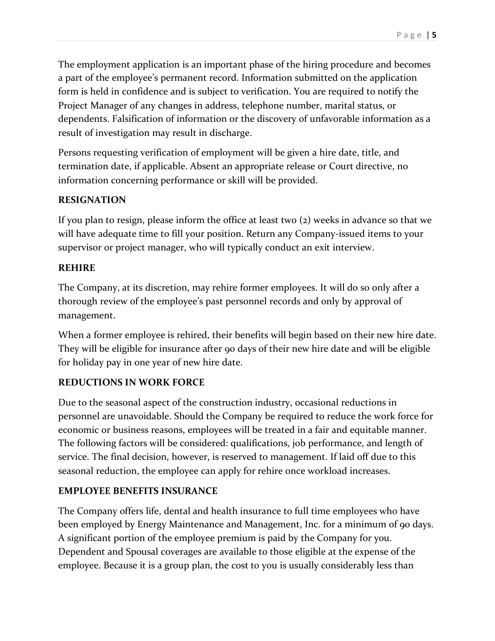The employment application is an important phase of the hiring procedure and becomes a part of the employee's permanent record. Information submitted on the application form is held in confidence and is subject to verification. You are required to notify the Project Manager of any changes in address, telephone number, marital status, or dependents. Falsification of information or the discovery of unfavorable information as a result of investigation may result in discharge.

Persons requesting verification of employment will be given a hire date, title, and termination date, if applicable. Absent an appropriate release or Court directive, no information concerning performance or skill will be provided.

#### **RESIGNATION**

If you plan to resign, please inform the office at least two (2) weeks in advance so that we will have adequate time to fill your position. Return any Company-issued items to your supervisor or project manager, who will typically conduct an exit interview.

#### **REHIRE**

The Company, at its discretion, may rehire former employees. It will do so only after a thorough review of the employee's past personnel records and only by approval of management.

When a former employee is rehired, their benefits will begin based on their new hire date. They will be eligible for insurance after 90 days of their new hire date and will be eligible for holiday pay in one year of new hire date.

#### **REDUCTIONS IN WORK FORCE**

Due to the seasonal aspect of the construction industry, occasional reductions in personnel are unavoidable. Should the Company be required to reduce the work force for economic or business reasons, employees will be treated in a fair and equitable manner. The following factors will be considered: qualifications, job performance, and length of service. The final decision, however, is reserved to management. If laid off due to this seasonal reduction, the employee can apply for rehire once workload increases.

#### **EMPLOYEE BENEFITS INSURANCE**

The Company offers life, dental and health insurance to full time employees who have been employed by Energy Maintenance and Management, Inc. for a minimum of 90 days. A significant portion of the employee premium is paid by the Company for you. Dependent and Spousal coverages are available to those eligible at the expense of the employee. Because it is a group plan, the cost to you is usually considerably less than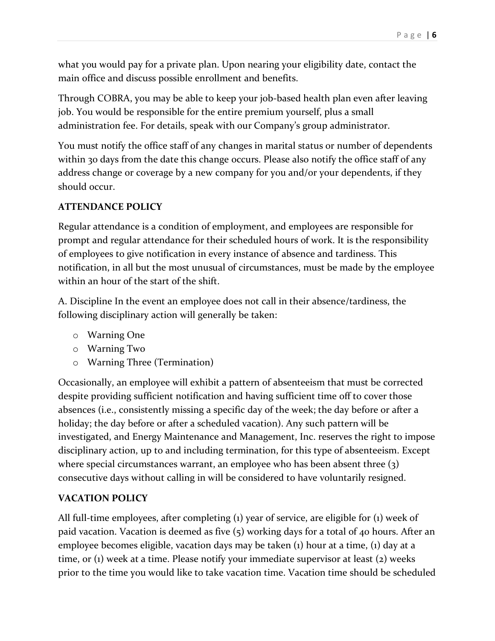what you would pay for a private plan. Upon nearing your eligibility date, contact the main office and discuss possible enrollment and benefits.

Through COBRA, you may be able to keep your job-based health plan even after leaving job. You would be responsible for the entire premium yourself, plus a small administration fee. For details, speak with our Company's group administrator.

You must notify the office staff of any changes in marital status or number of dependents within 30 days from the date this change occurs. Please also notify the office staff of any address change or coverage by a new company for you and/or your dependents, if they should occur.

#### **ATTENDANCE POLICY**

Regular attendance is a condition of employment, and employees are responsible for prompt and regular attendance for their scheduled hours of work. It is the responsibility of employees to give notification in every instance of absence and tardiness. This notification, in all but the most unusual of circumstances, must be made by the employee within an hour of the start of the shift.

A. Discipline In the event an employee does not call in their absence/tardiness, the following disciplinary action will generally be taken:

- o Warning One
- o Warning Two
- o Warning Three (Termination)

Occasionally, an employee will exhibit a pattern of absenteeism that must be corrected despite providing sufficient notification and having sufficient time off to cover those absences (i.e., consistently missing a specific day of the week; the day before or after a holiday; the day before or after a scheduled vacation). Any such pattern will be investigated, and Energy Maintenance and Management, Inc. reserves the right to impose disciplinary action, up to and including termination, for this type of absenteeism. Except where special circumstances warrant, an employee who has been absent three (3) consecutive days without calling in will be considered to have voluntarily resigned.

#### **VACATION POLICY**

All full-time employees, after completing (1) year of service, are eligible for (1) week of paid vacation. Vacation is deemed as five (5) working days for a total of 40 hours. After an employee becomes eligible, vacation days may be taken (1) hour at a time, (1) day at a time, or (1) week at a time. Please notify your immediate supervisor at least (2) weeks prior to the time you would like to take vacation time. Vacation time should be scheduled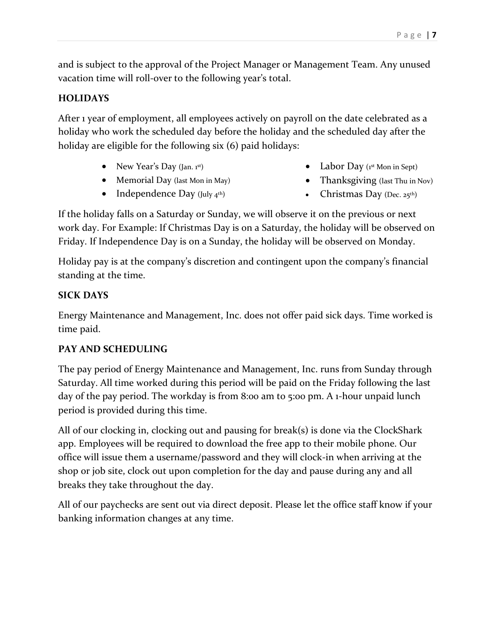and is subject to the approval of the Project Manager or Management Team. Any unused vacation time will roll-over to the following year's total.

#### **HOLIDAYS**

After 1 year of employment, all employees actively on payroll on the date celebrated as a holiday who work the scheduled day before the holiday and the scheduled day after the holiday are eligible for the following six (6) paid holidays:

- New Year's Day  $($ Jan. 1st)
- Memorial Day (last Mon in May)
- Independence Day (July  $4^{th}$ )
- Labor Day  $(i^{st}$  Mon in Sept)
- Thanksgiving (last Thu in Nov)
- Christmas Day (Dec. 25th)

If the holiday falls on a Saturday or Sunday, we will observe it on the previous or next work day. For Example: If Christmas Day is on a Saturday, the holiday will be observed on Friday. If Independence Day is on a Sunday, the holiday will be observed on Monday.

Holiday pay is at the company's discretion and contingent upon the company's financial standing at the time.

#### **SICK DAYS**

Energy Maintenance and Management, Inc. does not offer paid sick days. Time worked is time paid.

#### **PAY AND SCHEDULING**

The pay period of Energy Maintenance and Management, Inc. runs from Sunday through Saturday. All time worked during this period will be paid on the Friday following the last day of the pay period. The workday is from 8:00 am to 5:00 pm. A 1-hour unpaid lunch period is provided during this time.

All of our clocking in, clocking out and pausing for break(s) is done via the ClockShark app. Employees will be required to download the free app to their mobile phone. Our office will issue them a username/password and they will clock-in when arriving at the shop or job site, clock out upon completion for the day and pause during any and all breaks they take throughout the day.

All of our paychecks are sent out via direct deposit. Please let the office staff know if your banking information changes at any time.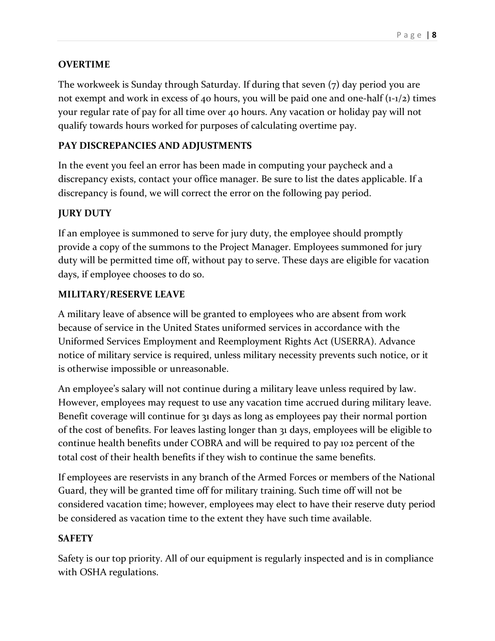#### **OVERTIME**

The workweek is Sunday through Saturday. If during that seven (7) day period you are not exempt and work in excess of 40 hours, you will be paid one and one-half  $(1-1/2)$  times your regular rate of pay for all time over 40 hours. Any vacation or holiday pay will not qualify towards hours worked for purposes of calculating overtime pay.

#### **PAY DISCREPANCIES AND ADJUSTMENTS**

In the event you feel an error has been made in computing your paycheck and a discrepancy exists, contact your office manager. Be sure to list the dates applicable. If a discrepancy is found, we will correct the error on the following pay period.

#### **JURY DUTY**

If an employee is summoned to serve for jury duty, the employee should promptly provide a copy of the summons to the Project Manager. Employees summoned for jury duty will be permitted time off, without pay to serve. These days are eligible for vacation days, if employee chooses to do so.

#### **MILITARY/RESERVE LEAVE**

A military leave of absence will be granted to employees who are absent from work because of service in the United States uniformed services in accordance with the Uniformed Services Employment and Reemployment Rights Act (USERRA). Advance notice of military service is required, unless military necessity prevents such notice, or it is otherwise impossible or unreasonable.

An employee's salary will not continue during a military leave unless required by law. However, employees may request to use any vacation time accrued during military leave. Benefit coverage will continue for 31 days as long as employees pay their normal portion of the cost of benefits. For leaves lasting longer than 31 days, employees will be eligible to continue health benefits under COBRA and will be required to pay 102 percent of the total cost of their health benefits if they wish to continue the same benefits.

If employees are reservists in any branch of the Armed Forces or members of the National Guard, they will be granted time off for military training. Such time off will not be considered vacation time; however, employees may elect to have their reserve duty period be considered as vacation time to the extent they have such time available.

#### **SAFETY**

Safety is our top priority. All of our equipment is regularly inspected and is in compliance with OSHA regulations.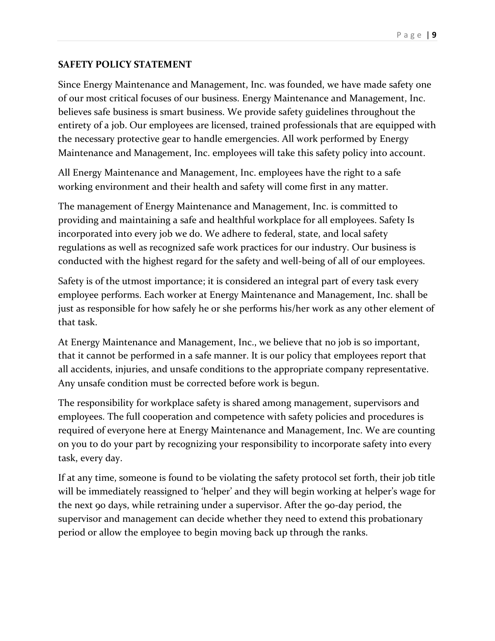#### **SAFETY POLICY STATEMENT**

Since Energy Maintenance and Management, Inc. was founded, we have made safety one of our most critical focuses of our business. Energy Maintenance and Management, Inc. believes safe business is smart business. We provide safety guidelines throughout the entirety of a job. Our employees are licensed, trained professionals that are equipped with the necessary protective gear to handle emergencies. All work performed by Energy Maintenance and Management, Inc. employees will take this safety policy into account.

All Energy Maintenance and Management, Inc. employees have the right to a safe working environment and their health and safety will come first in any matter.

The management of Energy Maintenance and Management, Inc. is committed to providing and maintaining a safe and healthful workplace for all employees. Safety Is incorporated into every job we do. We adhere to federal, state, and local safety regulations as well as recognized safe work practices for our industry. Our business is conducted with the highest regard for the safety and well-being of all of our employees.

Safety is of the utmost importance; it is considered an integral part of every task every employee performs. Each worker at Energy Maintenance and Management, Inc. shall be just as responsible for how safely he or she performs his/her work as any other element of that task.

At Energy Maintenance and Management, Inc., we believe that no job is so important, that it cannot be performed in a safe manner. It is our policy that employees report that all accidents, injuries, and unsafe conditions to the appropriate company representative. Any unsafe condition must be corrected before work is begun.

The responsibility for workplace safety is shared among management, supervisors and employees. The full cooperation and competence with safety policies and procedures is required of everyone here at Energy Maintenance and Management, Inc. We are counting on you to do your part by recognizing your responsibility to incorporate safety into every task, every day.

If at any time, someone is found to be violating the safety protocol set forth, their job title will be immediately reassigned to 'helper' and they will begin working at helper's wage for the next 90 days, while retraining under a supervisor. After the 90-day period, the supervisor and management can decide whether they need to extend this probationary period or allow the employee to begin moving back up through the ranks.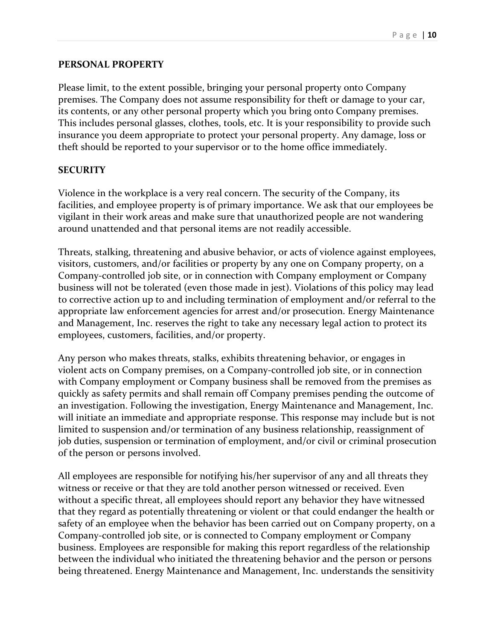#### **PERSONAL PROPERTY**

Please limit, to the extent possible, bringing your personal property onto Company premises. The Company does not assume responsibility for theft or damage to your car, its contents, or any other personal property which you bring onto Company premises. This includes personal glasses, clothes, tools, etc. It is your responsibility to provide such insurance you deem appropriate to protect your personal property. Any damage, loss or theft should be reported to your supervisor or to the home office immediately.

#### **SECURITY**

Violence in the workplace is a very real concern. The security of the Company, its facilities, and employee property is of primary importance. We ask that our employees be vigilant in their work areas and make sure that unauthorized people are not wandering around unattended and that personal items are not readily accessible.

Threats, stalking, threatening and abusive behavior, or acts of violence against employees, visitors, customers, and/or facilities or property by any one on Company property, on a Company-controlled job site, or in connection with Company employment or Company business will not be tolerated (even those made in jest). Violations of this policy may lead to corrective action up to and including termination of employment and/or referral to the appropriate law enforcement agencies for arrest and/or prosecution. Energy Maintenance and Management, Inc. reserves the right to take any necessary legal action to protect its employees, customers, facilities, and/or property.

Any person who makes threats, stalks, exhibits threatening behavior, or engages in violent acts on Company premises, on a Company-controlled job site, or in connection with Company employment or Company business shall be removed from the premises as quickly as safety permits and shall remain off Company premises pending the outcome of an investigation. Following the investigation, Energy Maintenance and Management, Inc. will initiate an immediate and appropriate response. This response may include but is not limited to suspension and/or termination of any business relationship, reassignment of job duties, suspension or termination of employment, and/or civil or criminal prosecution of the person or persons involved.

All employees are responsible for notifying his/her supervisor of any and all threats they witness or receive or that they are told another person witnessed or received. Even without a specific threat, all employees should report any behavior they have witnessed that they regard as potentially threatening or violent or that could endanger the health or safety of an employee when the behavior has been carried out on Company property, on a Company-controlled job site, or is connected to Company employment or Company business. Employees are responsible for making this report regardless of the relationship between the individual who initiated the threatening behavior and the person or persons being threatened. Energy Maintenance and Management, Inc. understands the sensitivity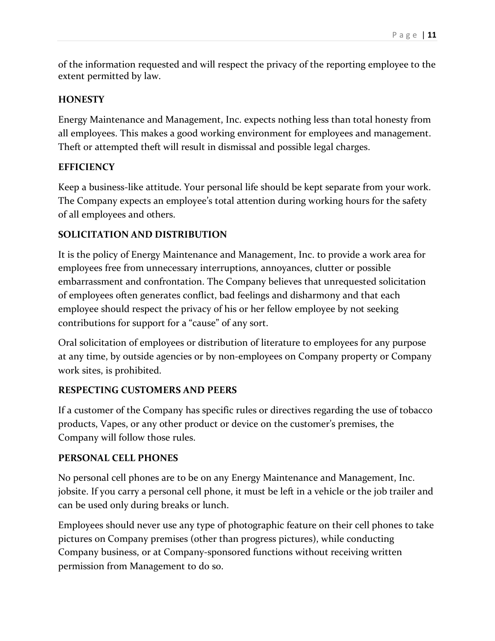of the information requested and will respect the privacy of the reporting employee to the extent permitted by law.

#### **HONESTY**

Energy Maintenance and Management, Inc. expects nothing less than total honesty from all employees. This makes a good working environment for employees and management. Theft or attempted theft will result in dismissal and possible legal charges.

#### **EFFICIENCY**

Keep a business-like attitude. Your personal life should be kept separate from your work. The Company expects an employee's total attention during working hours for the safety of all employees and others.

#### **SOLICITATION AND DISTRIBUTION**

It is the policy of Energy Maintenance and Management, Inc. to provide a work area for employees free from unnecessary interruptions, annoyances, clutter or possible embarrassment and confrontation. The Company believes that unrequested solicitation of employees often generates conflict, bad feelings and disharmony and that each employee should respect the privacy of his or her fellow employee by not seeking contributions for support for a "cause" of any sort.

Oral solicitation of employees or distribution of literature to employees for any purpose at any time, by outside agencies or by non-employees on Company property or Company work sites, is prohibited.

#### **RESPECTING CUSTOMERS AND PEERS**

If a customer of the Company has specific rules or directives regarding the use of tobacco products, Vapes, or any other product or device on the customer's premises, the Company will follow those rules.

#### **PERSONAL CELL PHONES**

No personal cell phones are to be on any Energy Maintenance and Management, Inc. jobsite. If you carry a personal cell phone, it must be left in a vehicle or the job trailer and can be used only during breaks or lunch.

Employees should never use any type of photographic feature on their cell phones to take pictures on Company premises (other than progress pictures), while conducting Company business, or at Company-sponsored functions without receiving written permission from Management to do so.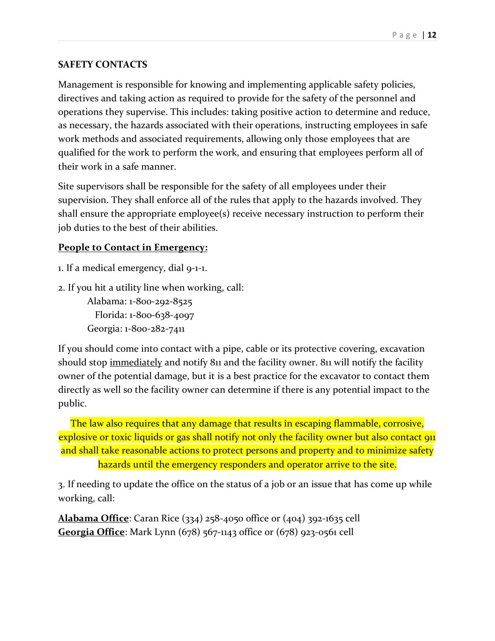#### **SAFETY CONTACTS**

Management is responsible for knowing and implementing applicable safety policies, directives and taking action as required to provide for the safety of the personnel and operations they supervise. This includes: taking positive action to determine and reduce, as necessary, the hazards associated with their operations, instructing employees in safe work methods and associated requirements, allowing only those employees that are qualified for the work to perform the work, and ensuring that employees perform all of their work in a safe manner.

Site supervisors shall be responsible for the safety of all employees under their supervision. They shall enforce all of the rules that apply to the hazards involved. They shall ensure the appropriate employee(s) receive necessary instruction to perform their job duties to the best of their abilities.

#### **People to Contact in Emergency:**

- 1. If a medical emergency, dial 9-1-1.
- 2. If you hit a utility line when working, call:

```
Alabama: 1-800-292-8525
   Florida: 1-800-638-4097
Georgia: 1-800-282-7411
```
If you should come into contact with a pipe, cable or its protective covering, excavation should stop immediately and notify 811 and the facility owner. 811 will notify the facility owner of the potential damage, but it is a best practice for the excavator to contact them directly as well so the facility owner can determine if there is any potential impact to the public.

The law also requires that any damage that results in escaping flammable, corrosive, explosive or toxic liquids or gas shall notify not only the facility owner but also contact 911 and shall take reasonable actions to protect persons and property and to minimize safety hazards until the emergency responders and operator arrive to the site.

3. If needing to update the office on the status of a job or an issue that has come up while working, call:

**Alabama Office**: Caran Rice (334) 258-4050 office or (404) 392-1635 cell **Georgia Office**: Mark Lynn (678) 567-1143 office or (678) 923-0561 cell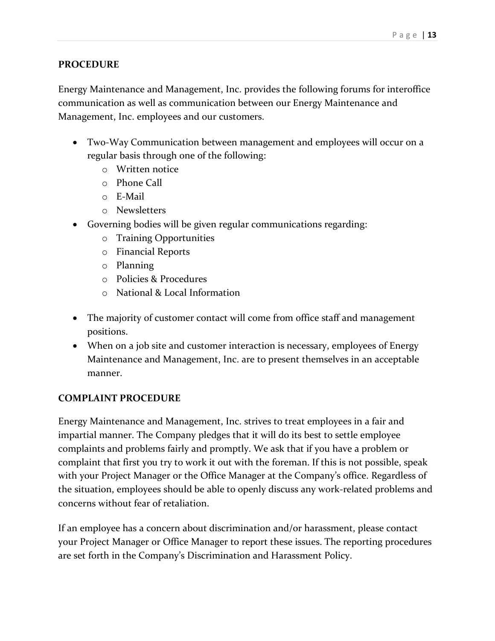#### **PROCEDURE**

Energy Maintenance and Management, Inc. provides the following forums for interoffice communication as well as communication between our Energy Maintenance and Management, Inc. employees and our customers.

- Two-Way Communication between management and employees will occur on a regular basis through one of the following:
	- o Written notice
	- o Phone Call
	- o E-Mail
	- o Newsletters
- Governing bodies will be given regular communications regarding:
	- o Training Opportunities
	- o Financial Reports
	- o Planning
	- o Policies & Procedures
	- o National & Local Information
- The majority of customer contact will come from office staff and management positions.
- When on a job site and customer interaction is necessary, employees of Energy Maintenance and Management, Inc. are to present themselves in an acceptable manner.

#### **COMPLAINT PROCEDURE**

Energy Maintenance and Management, Inc. strives to treat employees in a fair and impartial manner. The Company pledges that it will do its best to settle employee complaints and problems fairly and promptly. We ask that if you have a problem or complaint that first you try to work it out with the foreman. If this is not possible, speak with your Project Manager or the Office Manager at the Company's office. Regardless of the situation, employees should be able to openly discuss any work-related problems and concerns without fear of retaliation.

If an employee has a concern about discrimination and/or harassment, please contact your Project Manager or Office Manager to report these issues. The reporting procedures are set forth in the Company's Discrimination and Harassment Policy.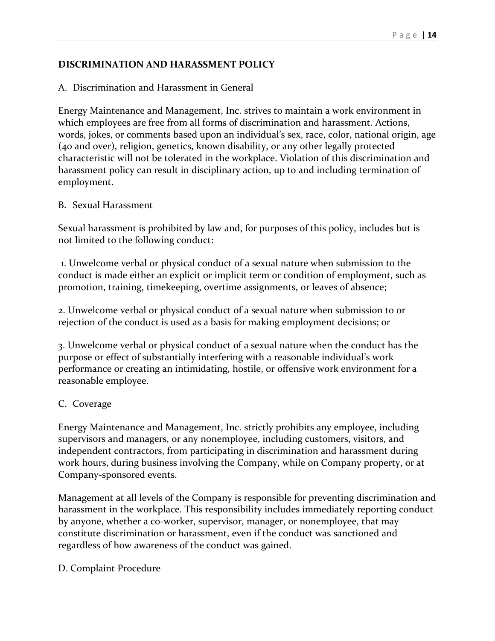#### **DISCRIMINATION AND HARASSMENT POLICY**

#### A. Discrimination and Harassment in General

Energy Maintenance and Management, Inc. strives to maintain a work environment in which employees are free from all forms of discrimination and harassment. Actions, words, jokes, or comments based upon an individual's sex, race, color, national origin, age (40 and over), religion, genetics, known disability, or any other legally protected characteristic will not be tolerated in the workplace. Violation of this discrimination and harassment policy can result in disciplinary action, up to and including termination of employment.

#### B. Sexual Harassment

Sexual harassment is prohibited by law and, for purposes of this policy, includes but is not limited to the following conduct:

1. Unwelcome verbal or physical conduct of a sexual nature when submission to the conduct is made either an explicit or implicit term or condition of employment, such as promotion, training, timekeeping, overtime assignments, or leaves of absence;

2. Unwelcome verbal or physical conduct of a sexual nature when submission to or rejection of the conduct is used as a basis for making employment decisions; or

3. Unwelcome verbal or physical conduct of a sexual nature when the conduct has the purpose or effect of substantially interfering with a reasonable individual's work performance or creating an intimidating, hostile, or offensive work environment for a reasonable employee.

#### C. Coverage

Energy Maintenance and Management, Inc. strictly prohibits any employee, including supervisors and managers, or any nonemployee, including customers, visitors, and independent contractors, from participating in discrimination and harassment during work hours, during business involving the Company, while on Company property, or at Company-sponsored events.

Management at all levels of the Company is responsible for preventing discrimination and harassment in the workplace. This responsibility includes immediately reporting conduct by anyone, whether a co-worker, supervisor, manager, or nonemployee, that may constitute discrimination or harassment, even if the conduct was sanctioned and regardless of how awareness of the conduct was gained.

D. Complaint Procedure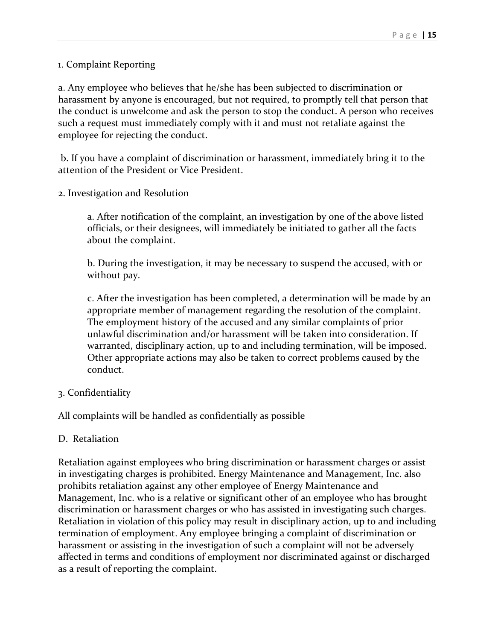#### 1. Complaint Reporting

a. Any employee who believes that he/she has been subjected to discrimination or harassment by anyone is encouraged, but not required, to promptly tell that person that the conduct is unwelcome and ask the person to stop the conduct. A person who receives such a request must immediately comply with it and must not retaliate against the employee for rejecting the conduct.

b. If you have a complaint of discrimination or harassment, immediately bring it to the attention of the President or Vice President.

2. Investigation and Resolution

a. After notification of the complaint, an investigation by one of the above listed officials, or their designees, will immediately be initiated to gather all the facts about the complaint.

b. During the investigation, it may be necessary to suspend the accused, with or without pay.

c. After the investigation has been completed, a determination will be made by an appropriate member of management regarding the resolution of the complaint. The employment history of the accused and any similar complaints of prior unlawful discrimination and/or harassment will be taken into consideration. If warranted, disciplinary action, up to and including termination, will be imposed. Other appropriate actions may also be taken to correct problems caused by the conduct.

#### 3. Confidentiality

All complaints will be handled as confidentially as possible

#### D. Retaliation

Retaliation against employees who bring discrimination or harassment charges or assist in investigating charges is prohibited. Energy Maintenance and Management, Inc. also prohibits retaliation against any other employee of Energy Maintenance and Management, Inc. who is a relative or significant other of an employee who has brought discrimination or harassment charges or who has assisted in investigating such charges. Retaliation in violation of this policy may result in disciplinary action, up to and including termination of employment. Any employee bringing a complaint of discrimination or harassment or assisting in the investigation of such a complaint will not be adversely affected in terms and conditions of employment nor discriminated against or discharged as a result of reporting the complaint.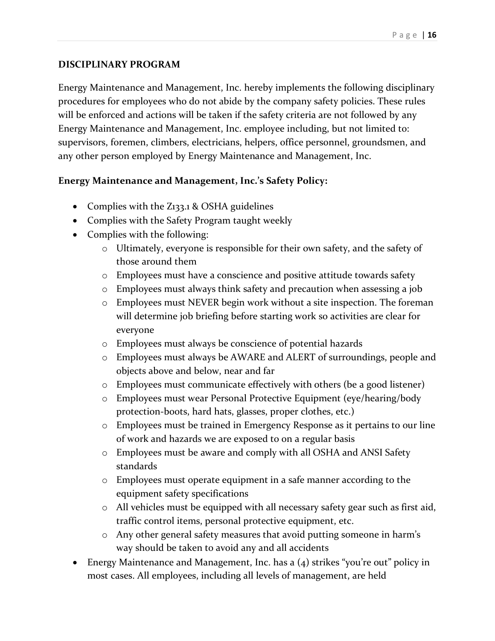#### **DISCIPLINARY PROGRAM**

Energy Maintenance and Management, Inc. hereby implements the following disciplinary procedures for employees who do not abide by the company safety policies. These rules will be enforced and actions will be taken if the safety criteria are not followed by any Energy Maintenance and Management, Inc. employee including, but not limited to: supervisors, foremen, climbers, electricians, helpers, office personnel, groundsmen, and any other person employed by Energy Maintenance and Management, Inc.

#### **Energy Maintenance and Management, Inc.'s Safety Policy:**

- Complies with the Z133.1 & OSHA guidelines
- Complies with the Safety Program taught weekly
- Complies with the following:
	- o Ultimately, everyone is responsible for their own safety, and the safety of those around them
	- o Employees must have a conscience and positive attitude towards safety
	- o Employees must always think safety and precaution when assessing a job
	- o Employees must NEVER begin work without a site inspection. The foreman will determine job briefing before starting work so activities are clear for everyone
	- o Employees must always be conscience of potential hazards
	- o Employees must always be AWARE and ALERT of surroundings, people and objects above and below, near and far
	- o Employees must communicate effectively with others (be a good listener)
	- o Employees must wear Personal Protective Equipment (eye/hearing/body protection-boots, hard hats, glasses, proper clothes, etc.)
	- o Employees must be trained in Emergency Response as it pertains to our line of work and hazards we are exposed to on a regular basis
	- o Employees must be aware and comply with all OSHA and ANSI Safety standards
	- o Employees must operate equipment in a safe manner according to the equipment safety specifications
	- o All vehicles must be equipped with all necessary safety gear such as first aid, traffic control items, personal protective equipment, etc.
	- o Any other general safety measures that avoid putting someone in harm's way should be taken to avoid any and all accidents
- Energy Maintenance and Management, Inc. has a (4) strikes "you're out" policy in most cases. All employees, including all levels of management, are held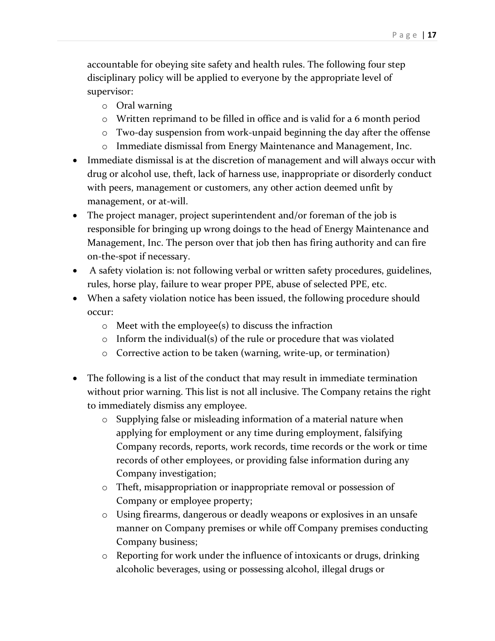accountable for obeying site safety and health rules. The following four step disciplinary policy will be applied to everyone by the appropriate level of supervisor:

- o Oral warning
- o Written reprimand to be filled in office and is valid for a 6 month period
- o Two-day suspension from work-unpaid beginning the day after the offense
- o Immediate dismissal from Energy Maintenance and Management, Inc.
- Immediate dismissal is at the discretion of management and will always occur with drug or alcohol use, theft, lack of harness use, inappropriate or disorderly conduct with peers, management or customers, any other action deemed unfit by management, or at-will.
- The project manager, project superintendent and/or foreman of the job is responsible for bringing up wrong doings to the head of Energy Maintenance and Management, Inc. The person over that job then has firing authority and can fire on-the-spot if necessary.
- A safety violation is: not following verbal or written safety procedures, guidelines, rules, horse play, failure to wear proper PPE, abuse of selected PPE, etc.
- When a safety violation notice has been issued, the following procedure should occur:
	- o Meet with the employee(s) to discuss the infraction
	- o Inform the individual(s) of the rule or procedure that was violated
	- o Corrective action to be taken (warning, write-up, or termination)
- The following is a list of the conduct that may result in immediate termination without prior warning. This list is not all inclusive. The Company retains the right to immediately dismiss any employee.
	- o Supplying false or misleading information of a material nature when applying for employment or any time during employment, falsifying Company records, reports, work records, time records or the work or time records of other employees, or providing false information during any Company investigation;
	- o Theft, misappropriation or inappropriate removal or possession of Company or employee property;
	- o Using firearms, dangerous or deadly weapons or explosives in an unsafe manner on Company premises or while off Company premises conducting Company business;
	- $\circ$  Reporting for work under the influence of intoxicants or drugs, drinking alcoholic beverages, using or possessing alcohol, illegal drugs or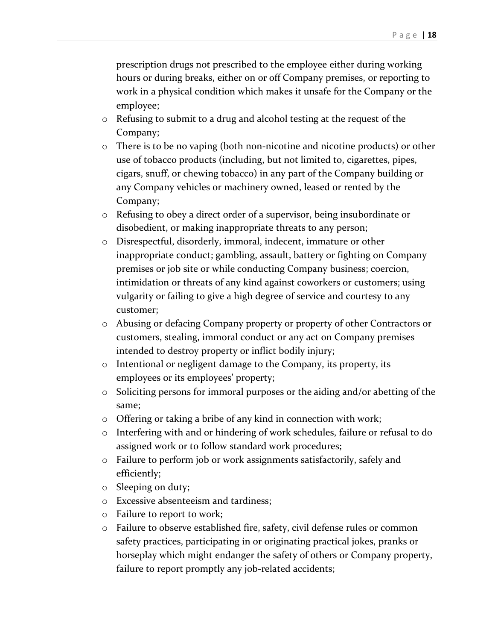prescription drugs not prescribed to the employee either during working hours or during breaks, either on or off Company premises, or reporting to work in a physical condition which makes it unsafe for the Company or the employee;

- o Refusing to submit to a drug and alcohol testing at the request of the Company;
- o There is to be no vaping (both non-nicotine and nicotine products) or other use of tobacco products (including, but not limited to, cigarettes, pipes, cigars, snuff, or chewing tobacco) in any part of the Company building or any Company vehicles or machinery owned, leased or rented by the Company;
- o Refusing to obey a direct order of a supervisor, being insubordinate or disobedient, or making inappropriate threats to any person;
- o Disrespectful, disorderly, immoral, indecent, immature or other inappropriate conduct; gambling, assault, battery or fighting on Company premises or job site or while conducting Company business; coercion, intimidation or threats of any kind against coworkers or customers; using vulgarity or failing to give a high degree of service and courtesy to any customer;
- o Abusing or defacing Company property or property of other Contractors or customers, stealing, immoral conduct or any act on Company premises intended to destroy property or inflict bodily injury;
- o Intentional or negligent damage to the Company, its property, its employees or its employees' property;
- o Soliciting persons for immoral purposes or the aiding and/or abetting of the same;
- o Offering or taking a bribe of any kind in connection with work;
- o Interfering with and or hindering of work schedules, failure or refusal to do assigned work or to follow standard work procedures;
- o Failure to perform job or work assignments satisfactorily, safely and efficiently;
- o Sleeping on duty;
- o Excessive absenteeism and tardiness;
- o Failure to report to work;
- o Failure to observe established fire, safety, civil defense rules or common safety practices, participating in or originating practical jokes, pranks or horseplay which might endanger the safety of others or Company property, failure to report promptly any job-related accidents;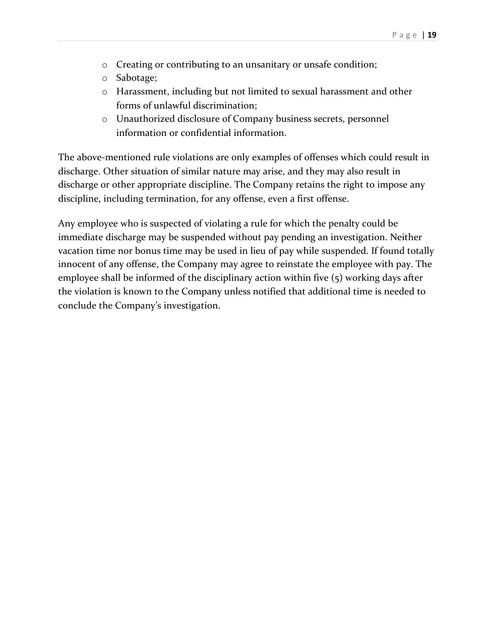- o Creating or contributing to an unsanitary or unsafe condition;
- o Sabotage;
- o Harassment, including but not limited to sexual harassment and other forms of unlawful discrimination;
- o Unauthorized disclosure of Company business secrets, personnel information or confidential information.

The above-mentioned rule violations are only examples of offenses which could result in discharge. Other situation of similar nature may arise, and they may also result in discharge or other appropriate discipline. The Company retains the right to impose any discipline, including termination, for any offense, even a first offense.

Any employee who is suspected of violating a rule for which the penalty could be immediate discharge may be suspended without pay pending an investigation. Neither vacation time nor bonus time may be used in lieu of pay while suspended. If found totally innocent of any offense, the Company may agree to reinstate the employee with pay. The employee shall be informed of the disciplinary action within five (5) working days after the violation is known to the Company unless notified that additional time is needed to conclude the Company's investigation.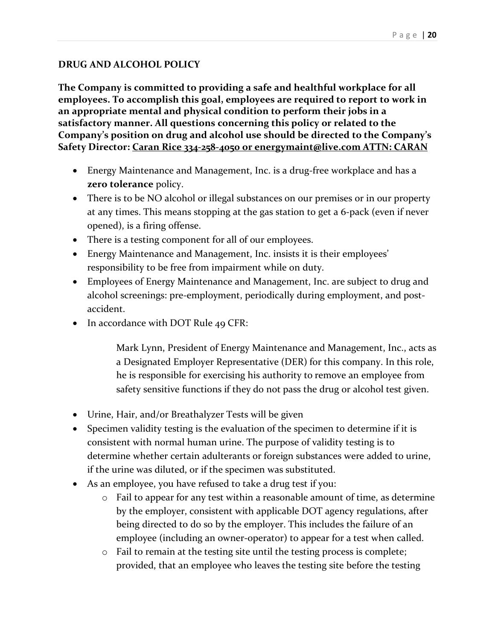#### **DRUG AND ALCOHOL POLICY**

**The Company is committed to providing a safe and healthful workplace for all employees. To accomplish this goal, employees are required to report to work in an appropriate mental and physical condition to perform their jobs in a satisfactory manner. All questions concerning this policy or related to the Company's position on drug and alcohol use should be directed to the Company's Safety Director: Caran Rice 334-258-4050 or energymaint@live.com ATTN: CARAN**

- Energy Maintenance and Management, Inc. is a drug-free workplace and has a **zero tolerance** policy.
- There is to be NO alcohol or illegal substances on our premises or in our property at any times. This means stopping at the gas station to get a 6-pack (even if never opened), is a firing offense.
- There is a testing component for all of our employees.
- Energy Maintenance and Management, Inc. insists it is their employees' responsibility to be free from impairment while on duty.
- Employees of Energy Maintenance and Management, Inc. are subject to drug and alcohol screenings: pre-employment, periodically during employment, and postaccident.
- In accordance with DOT Rule 49 CFR:

Mark Lynn, President of Energy Maintenance and Management, Inc., acts as a Designated Employer Representative (DER) for this company. In this role, he is responsible for exercising his authority to remove an employee from safety sensitive functions if they do not pass the drug or alcohol test given.

- Urine, Hair, and/or Breathalyzer Tests will be given
- Specimen validity testing is the evaluation of the specimen to determine if it is consistent with normal human urine. The purpose of validity testing is to determine whether certain adulterants or foreign substances were added to urine, if the urine was diluted, or if the specimen was substituted.
- As an employee, you have refused to take a drug test if you:
	- o Fail to appear for any test within a reasonable amount of time, as determine by the employer, consistent with applicable DOT agency regulations, after being directed to do so by the employer. This includes the failure of an employee (including an owner-operator) to appear for a test when called.
	- o Fail to remain at the testing site until the testing process is complete; provided, that an employee who leaves the testing site before the testing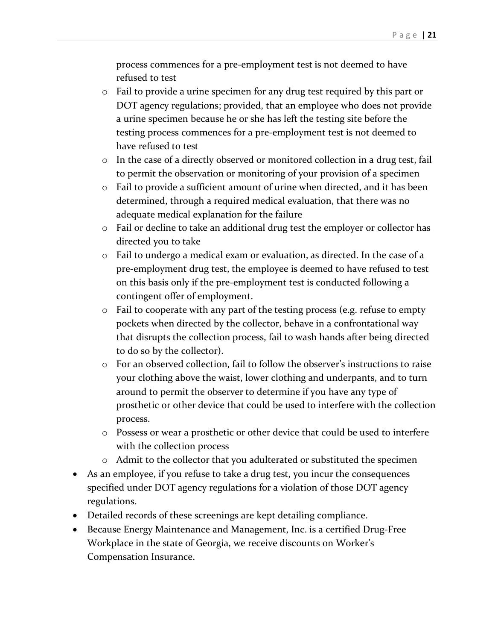process commences for a pre-employment test is not deemed to have refused to test

- o Fail to provide a urine specimen for any drug test required by this part or DOT agency regulations; provided, that an employee who does not provide a urine specimen because he or she has left the testing site before the testing process commences for a pre-employment test is not deemed to have refused to test
- o In the case of a directly observed or monitored collection in a drug test, fail to permit the observation or monitoring of your provision of a specimen
- o Fail to provide a sufficient amount of urine when directed, and it has been determined, through a required medical evaluation, that there was no adequate medical explanation for the failure
- o Fail or decline to take an additional drug test the employer or collector has directed you to take
- o Fail to undergo a medical exam or evaluation, as directed. In the case of a pre-employment drug test, the employee is deemed to have refused to test on this basis only if the pre-employment test is conducted following a contingent offer of employment.
- o Fail to cooperate with any part of the testing process (e.g. refuse to empty pockets when directed by the collector, behave in a confrontational way that disrupts the collection process, fail to wash hands after being directed to do so by the collector).
- o For an observed collection, fail to follow the observer's instructions to raise your clothing above the waist, lower clothing and underpants, and to turn around to permit the observer to determine if you have any type of prosthetic or other device that could be used to interfere with the collection process.
- o Possess or wear a prosthetic or other device that could be used to interfere with the collection process
- o Admit to the collector that you adulterated or substituted the specimen
- As an employee, if you refuse to take a drug test, you incur the consequences specified under DOT agency regulations for a violation of those DOT agency regulations.
- Detailed records of these screenings are kept detailing compliance.
- Because Energy Maintenance and Management, Inc. is a certified Drug-Free Workplace in the state of Georgia, we receive discounts on Worker's Compensation Insurance.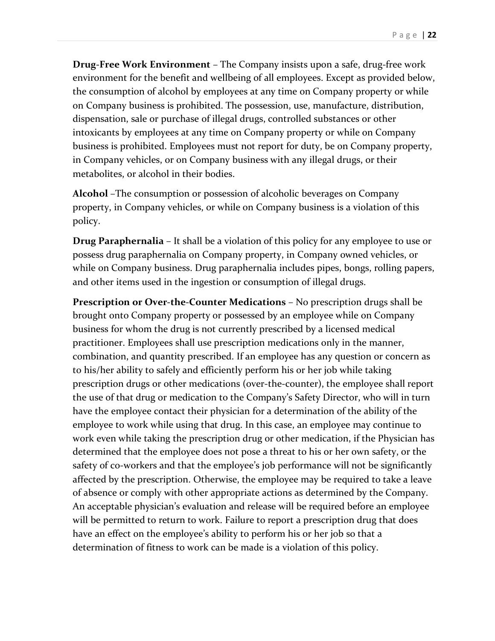**Drug-Free Work Environment** – The Company insists upon a safe, drug-free work environment for the benefit and wellbeing of all employees. Except as provided below, the consumption of alcohol by employees at any time on Company property or while on Company business is prohibited. The possession, use, manufacture, distribution, dispensation, sale or purchase of illegal drugs, controlled substances or other intoxicants by employees at any time on Company property or while on Company business is prohibited. Employees must not report for duty, be on Company property, in Company vehicles, or on Company business with any illegal drugs, or their metabolites, or alcohol in their bodies.

**Alcohol** –The consumption or possession of alcoholic beverages on Company property, in Company vehicles, or while on Company business is a violation of this policy.

**Drug Paraphernalia** – It shall be a violation of this policy for any employee to use or possess drug paraphernalia on Company property, in Company owned vehicles, or while on Company business. Drug paraphernalia includes pipes, bongs, rolling papers, and other items used in the ingestion or consumption of illegal drugs.

**Prescription or Over-the-Counter Medications** – No prescription drugs shall be brought onto Company property or possessed by an employee while on Company business for whom the drug is not currently prescribed by a licensed medical practitioner. Employees shall use prescription medications only in the manner, combination, and quantity prescribed. If an employee has any question or concern as to his/her ability to safely and efficiently perform his or her job while taking prescription drugs or other medications (over-the-counter), the employee shall report the use of that drug or medication to the Company's Safety Director, who will in turn have the employee contact their physician for a determination of the ability of the employee to work while using that drug. In this case, an employee may continue to work even while taking the prescription drug or other medication, if the Physician has determined that the employee does not pose a threat to his or her own safety, or the safety of co-workers and that the employee's job performance will not be significantly affected by the prescription. Otherwise, the employee may be required to take a leave of absence or comply with other appropriate actions as determined by the Company. An acceptable physician's evaluation and release will be required before an employee will be permitted to return to work. Failure to report a prescription drug that does have an effect on the employee's ability to perform his or her job so that a determination of fitness to work can be made is a violation of this policy.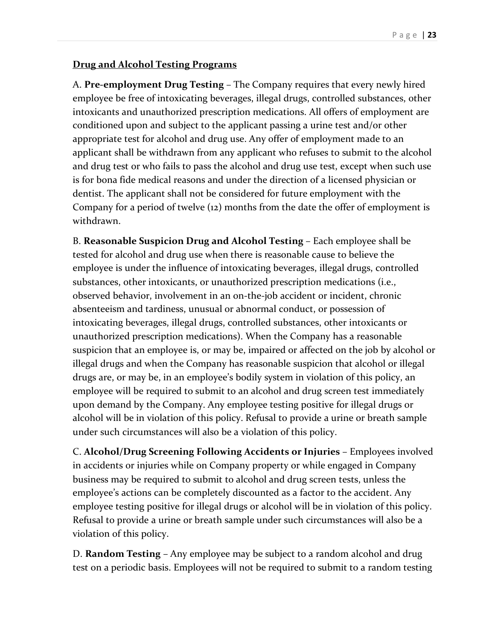#### **Drug and Alcohol Testing Programs**

A. **Pre-employment Drug Testing** – The Company requires that every newly hired employee be free of intoxicating beverages, illegal drugs, controlled substances, other intoxicants and unauthorized prescription medications. All offers of employment are conditioned upon and subject to the applicant passing a urine test and/or other appropriate test for alcohol and drug use. Any offer of employment made to an applicant shall be withdrawn from any applicant who refuses to submit to the alcohol and drug test or who fails to pass the alcohol and drug use test, except when such use is for bona fide medical reasons and under the direction of a licensed physician or dentist. The applicant shall not be considered for future employment with the Company for a period of twelve (12) months from the date the offer of employment is withdrawn.

B. **Reasonable Suspicion Drug and Alcohol Testing** – Each employee shall be tested for alcohol and drug use when there is reasonable cause to believe the employee is under the influence of intoxicating beverages, illegal drugs, controlled substances, other intoxicants, or unauthorized prescription medications (i.e., observed behavior, involvement in an on-the-job accident or incident, chronic absenteeism and tardiness, unusual or abnormal conduct, or possession of intoxicating beverages, illegal drugs, controlled substances, other intoxicants or unauthorized prescription medications). When the Company has a reasonable suspicion that an employee is, or may be, impaired or affected on the job by alcohol or illegal drugs and when the Company has reasonable suspicion that alcohol or illegal drugs are, or may be, in an employee's bodily system in violation of this policy, an employee will be required to submit to an alcohol and drug screen test immediately upon demand by the Company. Any employee testing positive for illegal drugs or alcohol will be in violation of this policy. Refusal to provide a urine or breath sample under such circumstances will also be a violation of this policy.

C. **Alcohol/Drug Screening Following Accidents or Injuries** – Employees involved in accidents or injuries while on Company property or while engaged in Company business may be required to submit to alcohol and drug screen tests, unless the employee's actions can be completely discounted as a factor to the accident. Any employee testing positive for illegal drugs or alcohol will be in violation of this policy. Refusal to provide a urine or breath sample under such circumstances will also be a violation of this policy.

D. **Random Testing** – Any employee may be subject to a random alcohol and drug test on a periodic basis. Employees will not be required to submit to a random testing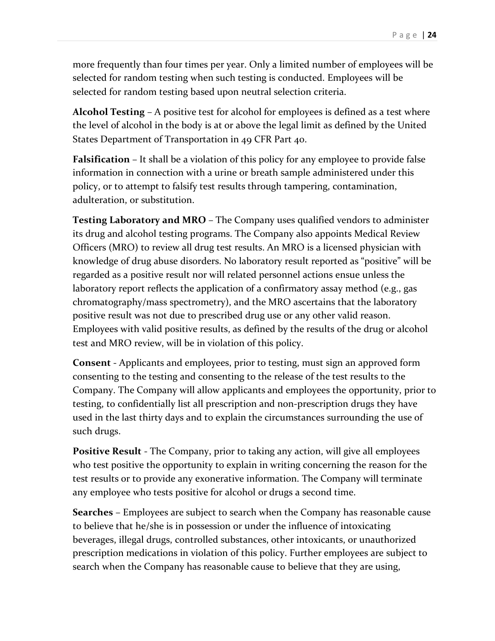more frequently than four times per year. Only a limited number of employees will be selected for random testing when such testing is conducted. Employees will be selected for random testing based upon neutral selection criteria.

**Alcohol Testing** – A positive test for alcohol for employees is defined as a test where the level of alcohol in the body is at or above the legal limit as defined by the United States Department of Transportation in 49 CFR Part 40.

**Falsification** – It shall be a violation of this policy for any employee to provide false information in connection with a urine or breath sample administered under this policy, or to attempt to falsify test results through tampering, contamination, adulteration, or substitution.

**Testing Laboratory and MRO** – The Company uses qualified vendors to administer its drug and alcohol testing programs. The Company also appoints Medical Review Officers (MRO) to review all drug test results. An MRO is a licensed physician with knowledge of drug abuse disorders. No laboratory result reported as "positive" will be regarded as a positive result nor will related personnel actions ensue unless the laboratory report reflects the application of a confirmatory assay method (e.g., gas chromatography/mass spectrometry), and the MRO ascertains that the laboratory positive result was not due to prescribed drug use or any other valid reason. Employees with valid positive results, as defined by the results of the drug or alcohol test and MRO review, will be in violation of this policy.

**Consent** - Applicants and employees, prior to testing, must sign an approved form consenting to the testing and consenting to the release of the test results to the Company. The Company will allow applicants and employees the opportunity, prior to testing, to confidentially list all prescription and non-prescription drugs they have used in the last thirty days and to explain the circumstances surrounding the use of such drugs.

**Positive Result** - The Company, prior to taking any action, will give all employees who test positive the opportunity to explain in writing concerning the reason for the test results or to provide any exonerative information. The Company will terminate any employee who tests positive for alcohol or drugs a second time.

**Searches** – Employees are subject to search when the Company has reasonable cause to believe that he/she is in possession or under the influence of intoxicating beverages, illegal drugs, controlled substances, other intoxicants, or unauthorized prescription medications in violation of this policy. Further employees are subject to search when the Company has reasonable cause to believe that they are using,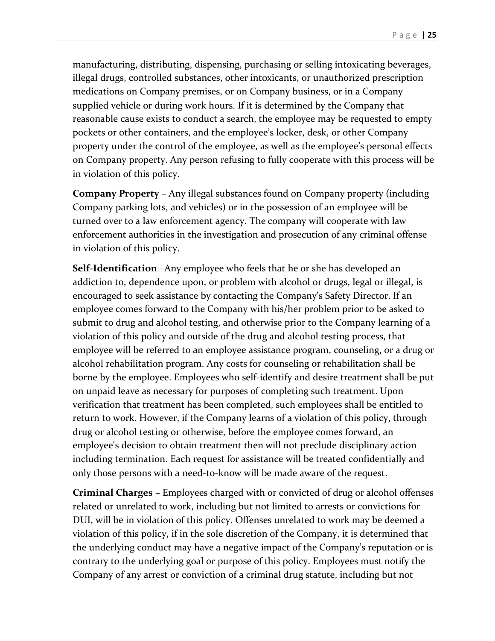manufacturing, distributing, dispensing, purchasing or selling intoxicating beverages, illegal drugs, controlled substances, other intoxicants, or unauthorized prescription medications on Company premises, or on Company business, or in a Company supplied vehicle or during work hours. If it is determined by the Company that reasonable cause exists to conduct a search, the employee may be requested to empty pockets or other containers, and the employee's locker, desk, or other Company property under the control of the employee, as well as the employee's personal effects on Company property. Any person refusing to fully cooperate with this process will be in violation of this policy.

**Company Property** – Any illegal substances found on Company property (including Company parking lots, and vehicles) or in the possession of an employee will be turned over to a law enforcement agency. The company will cooperate with law enforcement authorities in the investigation and prosecution of any criminal offense in violation of this policy.

**Self-Identification** –Any employee who feels that he or she has developed an addiction to, dependence upon, or problem with alcohol or drugs, legal or illegal, is encouraged to seek assistance by contacting the Company's Safety Director. If an employee comes forward to the Company with his/her problem prior to be asked to submit to drug and alcohol testing, and otherwise prior to the Company learning of a violation of this policy and outside of the drug and alcohol testing process, that employee will be referred to an employee assistance program, counseling, or a drug or alcohol rehabilitation program. Any costs for counseling or rehabilitation shall be borne by the employee. Employees who self-identify and desire treatment shall be put on unpaid leave as necessary for purposes of completing such treatment. Upon verification that treatment has been completed, such employees shall be entitled to return to work. However, if the Company learns of a violation of this policy, through drug or alcohol testing or otherwise, before the employee comes forward, an employee's decision to obtain treatment then will not preclude disciplinary action including termination. Each request for assistance will be treated confidentially and only those persons with a need-to-know will be made aware of the request.

**Criminal Charges** – Employees charged with or convicted of drug or alcohol offenses related or unrelated to work, including but not limited to arrests or convictions for DUI, will be in violation of this policy. Offenses unrelated to work may be deemed a violation of this policy, if in the sole discretion of the Company, it is determined that the underlying conduct may have a negative impact of the Company's reputation or is contrary to the underlying goal or purpose of this policy. Employees must notify the Company of any arrest or conviction of a criminal drug statute, including but not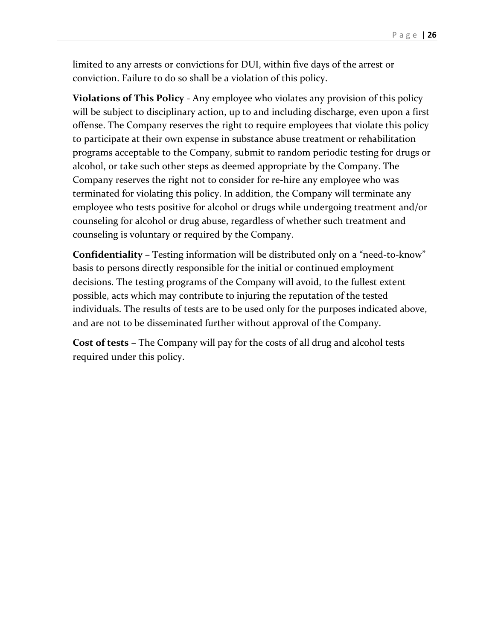limited to any arrests or convictions for DUI, within five days of the arrest or conviction. Failure to do so shall be a violation of this policy.

**Violations of This Policy** - Any employee who violates any provision of this policy will be subject to disciplinary action, up to and including discharge, even upon a first offense. The Company reserves the right to require employees that violate this policy to participate at their own expense in substance abuse treatment or rehabilitation programs acceptable to the Company, submit to random periodic testing for drugs or alcohol, or take such other steps as deemed appropriate by the Company. The Company reserves the right not to consider for re-hire any employee who was terminated for violating this policy. In addition, the Company will terminate any employee who tests positive for alcohol or drugs while undergoing treatment and/or counseling for alcohol or drug abuse, regardless of whether such treatment and counseling is voluntary or required by the Company.

**Confidentiality** – Testing information will be distributed only on a "need-to-know" basis to persons directly responsible for the initial or continued employment decisions. The testing programs of the Company will avoid, to the fullest extent possible, acts which may contribute to injuring the reputation of the tested individuals. The results of tests are to be used only for the purposes indicated above, and are not to be disseminated further without approval of the Company.

**Cost of tests** – The Company will pay for the costs of all drug and alcohol tests required under this policy.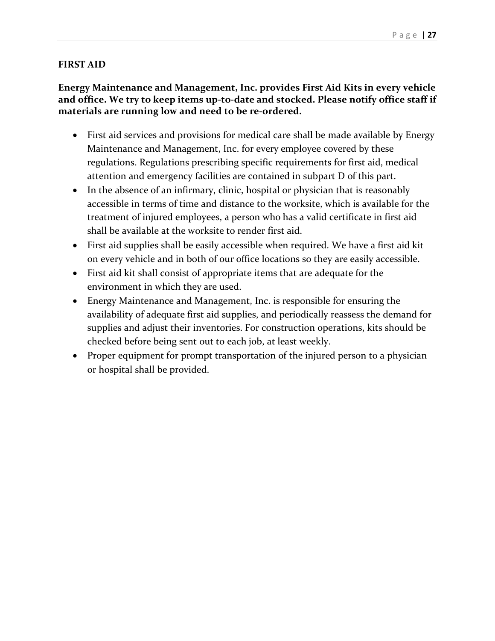#### **FIRST AID**

#### **Energy Maintenance and Management, Inc. provides First Aid Kits in every vehicle and office. We try to keep items up-to-date and stocked. Please notify office staff if materials are running low and need to be re-ordered.**

- First aid services and provisions for medical care shall be made available by Energy Maintenance and Management, Inc. for every employee covered by these regulations. Regulations prescribing specific requirements for first aid, medical attention and emergency facilities are contained in subpart D of this part.
- In the absence of an infirmary, clinic, hospital or physician that is reasonably accessible in terms of time and distance to the worksite, which is available for the treatment of injured employees, a person who has a valid certificate in first aid shall be available at the worksite to render first aid.
- First aid supplies shall be easily accessible when required. We have a first aid kit on every vehicle and in both of our office locations so they are easily accessible.
- First aid kit shall consist of appropriate items that are adequate for the environment in which they are used.
- Energy Maintenance and Management, Inc. is responsible for ensuring the availability of adequate first aid supplies, and periodically reassess the demand for supplies and adjust their inventories. For construction operations, kits should be checked before being sent out to each job, at least weekly.
- Proper equipment for prompt transportation of the injured person to a physician or hospital shall be provided.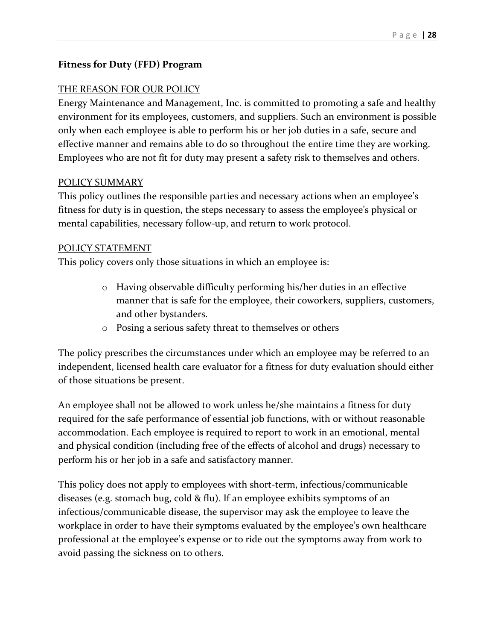#### **Fitness for Duty (FFD) Program**

#### THE REASON FOR OUR POLICY

Energy Maintenance and Management, Inc. is committed to promoting a safe and healthy environment for its employees, customers, and suppliers. Such an environment is possible only when each employee is able to perform his or her job duties in a safe, secure and effective manner and remains able to do so throughout the entire time they are working. Employees who are not fit for duty may present a safety risk to themselves and others.

#### POLICY SUMMARY

This policy outlines the responsible parties and necessary actions when an employee's fitness for duty is in question, the steps necessary to assess the employee's physical or mental capabilities, necessary follow-up, and return to work protocol.

#### POLICY STATEMENT

This policy covers only those situations in which an employee is:

- o Having observable difficulty performing his/her duties in an effective manner that is safe for the employee, their coworkers, suppliers, customers, and other bystanders.
- o Posing a serious safety threat to themselves or others

The policy prescribes the circumstances under which an employee may be referred to an independent, licensed health care evaluator for a fitness for duty evaluation should either of those situations be present.

An employee shall not be allowed to work unless he/she maintains a fitness for duty required for the safe performance of essential job functions, with or without reasonable accommodation. Each employee is required to report to work in an emotional, mental and physical condition (including free of the effects of alcohol and drugs) necessary to perform his or her job in a safe and satisfactory manner.

This policy does not apply to employees with short-term, infectious/communicable diseases (e.g. stomach bug, cold & flu). If an employee exhibits symptoms of an infectious/communicable disease, the supervisor may ask the employee to leave the workplace in order to have their symptoms evaluated by the employee's own healthcare professional at the employee's expense or to ride out the symptoms away from work to avoid passing the sickness on to others.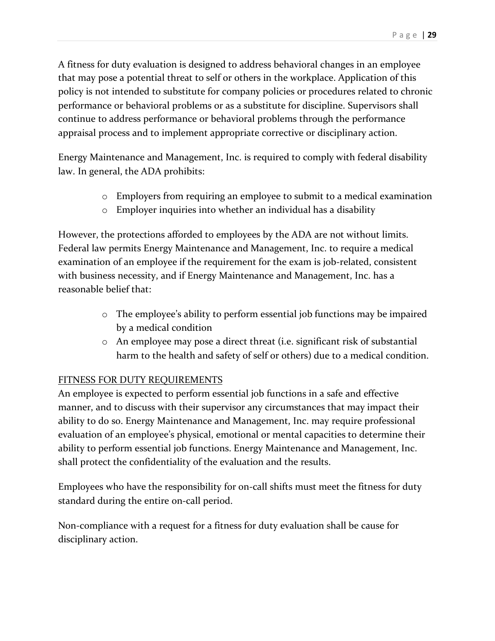A fitness for duty evaluation is designed to address behavioral changes in an employee that may pose a potential threat to self or others in the workplace. Application of this policy is not intended to substitute for company policies or procedures related to chronic performance or behavioral problems or as a substitute for discipline. Supervisors shall continue to address performance or behavioral problems through the performance appraisal process and to implement appropriate corrective or disciplinary action.

Energy Maintenance and Management, Inc. is required to comply with federal disability law. In general, the ADA prohibits:

- o Employers from requiring an employee to submit to a medical examination
- o Employer inquiries into whether an individual has a disability

However, the protections afforded to employees by the ADA are not without limits. Federal law permits Energy Maintenance and Management, Inc. to require a medical examination of an employee if the requirement for the exam is job-related, consistent with business necessity, and if Energy Maintenance and Management, Inc. has a reasonable belief that:

- o The employee's ability to perform essential job functions may be impaired by a medical condition
- o An employee may pose a direct threat (i.e. significant risk of substantial harm to the health and safety of self or others) due to a medical condition.

#### FITNESS FOR DUTY REQUIREMENTS

An employee is expected to perform essential job functions in a safe and effective manner, and to discuss with their supervisor any circumstances that may impact their ability to do so. Energy Maintenance and Management, Inc. may require professional evaluation of an employee's physical, emotional or mental capacities to determine their ability to perform essential job functions. Energy Maintenance and Management, Inc. shall protect the confidentiality of the evaluation and the results.

Employees who have the responsibility for on-call shifts must meet the fitness for duty standard during the entire on-call period.

Non-compliance with a request for a fitness for duty evaluation shall be cause for disciplinary action.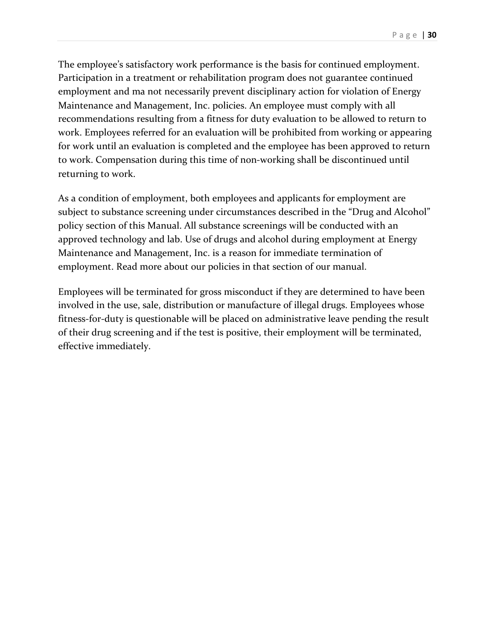Page | **30**

The employee's satisfactory work performance is the basis for continued employment. Participation in a treatment or rehabilitation program does not guarantee continued employment and ma not necessarily prevent disciplinary action for violation of Energy Maintenance and Management, Inc. policies. An employee must comply with all recommendations resulting from a fitness for duty evaluation to be allowed to return to work. Employees referred for an evaluation will be prohibited from working or appearing for work until an evaluation is completed and the employee has been approved to return to work. Compensation during this time of non-working shall be discontinued until returning to work.

As a condition of employment, both employees and applicants for employment are subject to substance screening under circumstances described in the "Drug and Alcohol" policy section of this Manual. All substance screenings will be conducted with an approved technology and lab. Use of drugs and alcohol during employment at Energy Maintenance and Management, Inc. is a reason for immediate termination of employment. Read more about our policies in that section of our manual.

Employees will be terminated for gross misconduct if they are determined to have been involved in the use, sale, distribution or manufacture of illegal drugs. Employees whose fitness-for-duty is questionable will be placed on administrative leave pending the result of their drug screening and if the test is positive, their employment will be terminated, effective immediately.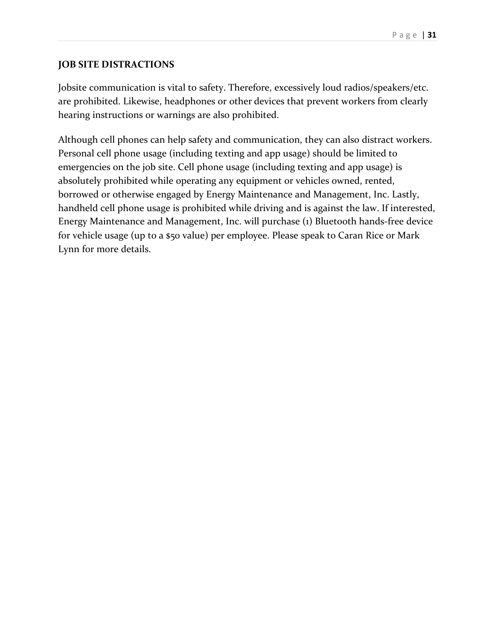#### **JOB SITE DISTRACTIONS**

Jobsite communication is vital to safety. Therefore, excessively loud radios/speakers/etc. are prohibited. Likewise, headphones or other devices that prevent workers from clearly hearing instructions or warnings are also prohibited.

Although cell phones can help safety and communication, they can also distract workers. Personal cell phone usage (including texting and app usage) should be limited to emergencies on the job site. Cell phone usage (including texting and app usage) is absolutely prohibited while operating any equipment or vehicles owned, rented, borrowed or otherwise engaged by Energy Maintenance and Management, Inc. Lastly, handheld cell phone usage is prohibited while driving and is against the law. If interested, Energy Maintenance and Management, Inc. will purchase (1) Bluetooth hands-free device for vehicle usage (up to a \$50 value) per employee. Please speak to Caran Rice or Mark Lynn for more details.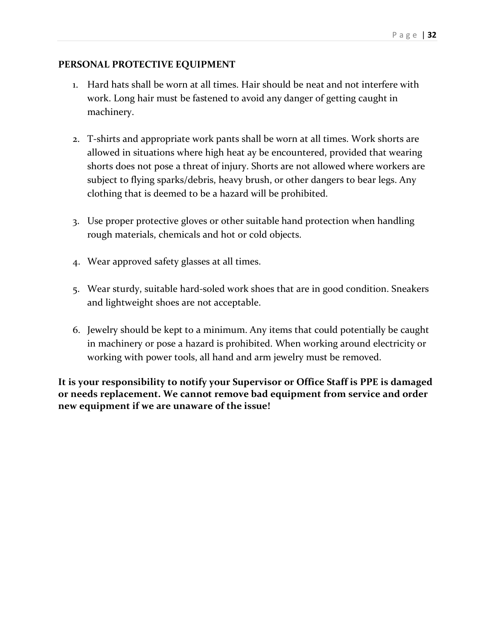#### **PERSONAL PROTECTIVE EQUIPMENT**

- 1. Hard hats shall be worn at all times. Hair should be neat and not interfere with work. Long hair must be fastened to avoid any danger of getting caught in machinery.
- 2. T-shirts and appropriate work pants shall be worn at all times. Work shorts are allowed in situations where high heat ay be encountered, provided that wearing shorts does not pose a threat of injury. Shorts are not allowed where workers are subject to flying sparks/debris, heavy brush, or other dangers to bear legs. Any clothing that is deemed to be a hazard will be prohibited.
- 3. Use proper protective gloves or other suitable hand protection when handling rough materials, chemicals and hot or cold objects.
- 4. Wear approved safety glasses at all times.
- 5. Wear sturdy, suitable hard-soled work shoes that are in good condition. Sneakers and lightweight shoes are not acceptable.
- 6. Jewelry should be kept to a minimum. Any items that could potentially be caught in machinery or pose a hazard is prohibited. When working around electricity or working with power tools, all hand and arm jewelry must be removed.

**It is your responsibility to notify your Supervisor or Office Staff is PPE is damaged or needs replacement. We cannot remove bad equipment from service and order new equipment if we are unaware of the issue!**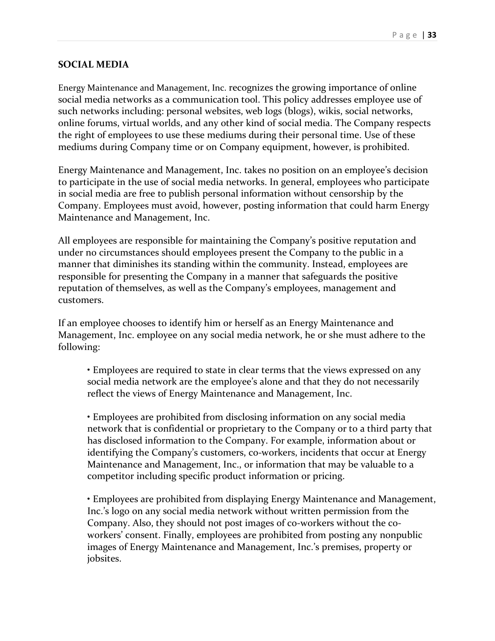#### **SOCIAL MEDIA**

Energy Maintenance and Management, Inc. recognizes the growing importance of online social media networks as a communication tool. This policy addresses employee use of such networks including: personal websites, web logs (blogs), wikis, social networks, online forums, virtual worlds, and any other kind of social media. The Company respects the right of employees to use these mediums during their personal time. Use of these mediums during Company time or on Company equipment, however, is prohibited.

Energy Maintenance and Management, Inc. takes no position on an employee's decision to participate in the use of social media networks. In general, employees who participate in social media are free to publish personal information without censorship by the Company. Employees must avoid, however, posting information that could harm Energy Maintenance and Management, Inc.

All employees are responsible for maintaining the Company's positive reputation and under no circumstances should employees present the Company to the public in a manner that diminishes its standing within the community. Instead, employees are responsible for presenting the Company in a manner that safeguards the positive reputation of themselves, as well as the Company's employees, management and customers.

If an employee chooses to identify him or herself as an Energy Maintenance and Management, Inc. employee on any social media network, he or she must adhere to the following:

• Employees are required to state in clear terms that the views expressed on any social media network are the employee's alone and that they do not necessarily reflect the views of Energy Maintenance and Management, Inc.

• Employees are prohibited from disclosing information on any social media network that is confidential or proprietary to the Company or to a third party that has disclosed information to the Company. For example, information about or identifying the Company's customers, co-workers, incidents that occur at Energy Maintenance and Management, Inc., or information that may be valuable to a competitor including specific product information or pricing.

• Employees are prohibited from displaying Energy Maintenance and Management, Inc.'s logo on any social media network without written permission from the Company. Also, they should not post images of co-workers without the coworkers' consent. Finally, employees are prohibited from posting any nonpublic images of Energy Maintenance and Management, Inc.'s premises, property or jobsites.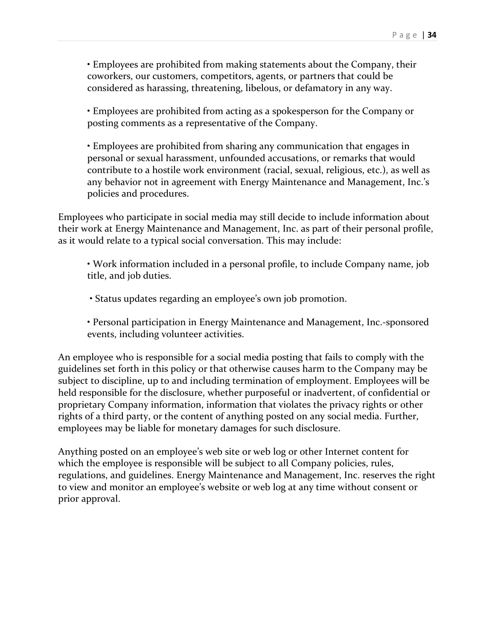• Employees are prohibited from making statements about the Company, their coworkers, our customers, competitors, agents, or partners that could be considered as harassing, threatening, libelous, or defamatory in any way.

• Employees are prohibited from acting as a spokesperson for the Company or posting comments as a representative of the Company.

• Employees are prohibited from sharing any communication that engages in personal or sexual harassment, unfounded accusations, or remarks that would contribute to a hostile work environment (racial, sexual, religious, etc.), as well as any behavior not in agreement with Energy Maintenance and Management, Inc.'s policies and procedures.

Employees who participate in social media may still decide to include information about their work at Energy Maintenance and Management, Inc. as part of their personal profile, as it would relate to a typical social conversation. This may include:

• Work information included in a personal profile, to include Company name, job title, and job duties.

• Status updates regarding an employee's own job promotion.

• Personal participation in Energy Maintenance and Management, Inc.-sponsored events, including volunteer activities.

An employee who is responsible for a social media posting that fails to comply with the guidelines set forth in this policy or that otherwise causes harm to the Company may be subject to discipline, up to and including termination of employment. Employees will be held responsible for the disclosure, whether purposeful or inadvertent, of confidential or proprietary Company information, information that violates the privacy rights or other rights of a third party, or the content of anything posted on any social media. Further, employees may be liable for monetary damages for such disclosure.

Anything posted on an employee's web site or web log or other Internet content for which the employee is responsible will be subject to all Company policies, rules, regulations, and guidelines. Energy Maintenance and Management, Inc. reserves the right to view and monitor an employee's website or web log at any time without consent or prior approval.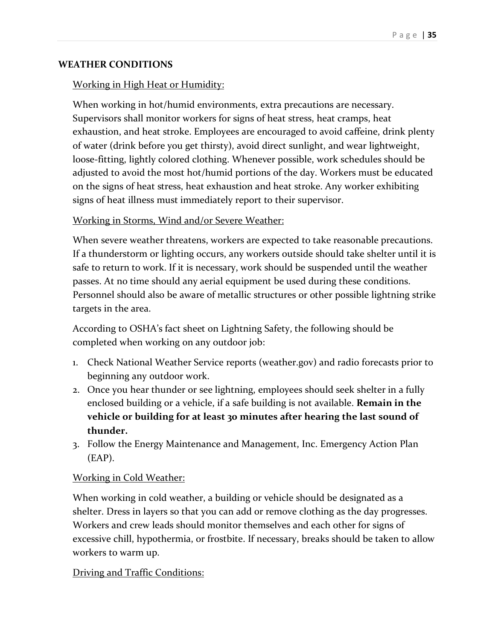#### **WEATHER CONDITIONS**

#### Working in High Heat or Humidity:

When working in hot/humid environments, extra precautions are necessary. Supervisors shall monitor workers for signs of heat stress, heat cramps, heat exhaustion, and heat stroke. Employees are encouraged to avoid caffeine, drink plenty of water (drink before you get thirsty), avoid direct sunlight, and wear lightweight, loose-fitting, lightly colored clothing. Whenever possible, work schedules should be adjusted to avoid the most hot/humid portions of the day. Workers must be educated on the signs of heat stress, heat exhaustion and heat stroke. Any worker exhibiting signs of heat illness must immediately report to their supervisor.

#### Working in Storms, Wind and/or Severe Weather:

When severe weather threatens, workers are expected to take reasonable precautions. If a thunderstorm or lighting occurs, any workers outside should take shelter until it is safe to return to work. If it is necessary, work should be suspended until the weather passes. At no time should any aerial equipment be used during these conditions. Personnel should also be aware of metallic structures or other possible lightning strike targets in the area.

According to OSHA's fact sheet on Lightning Safety, the following should be completed when working on any outdoor job:

- 1. Check National Weather Service reports (weather.gov) and radio forecasts prior to beginning any outdoor work.
- 2. Once you hear thunder or see lightning, employees should seek shelter in a fully enclosed building or a vehicle, if a safe building is not available. **Remain in the vehicle or building for at least 30 minutes after hearing the last sound of thunder.**
- 3. Follow the Energy Maintenance and Management, Inc. Emergency Action Plan (EAP).

#### Working in Cold Weather:

When working in cold weather, a building or vehicle should be designated as a shelter. Dress in layers so that you can add or remove clothing as the day progresses. Workers and crew leads should monitor themselves and each other for signs of excessive chill, hypothermia, or frostbite. If necessary, breaks should be taken to allow workers to warm up.

#### Driving and Traffic Conditions: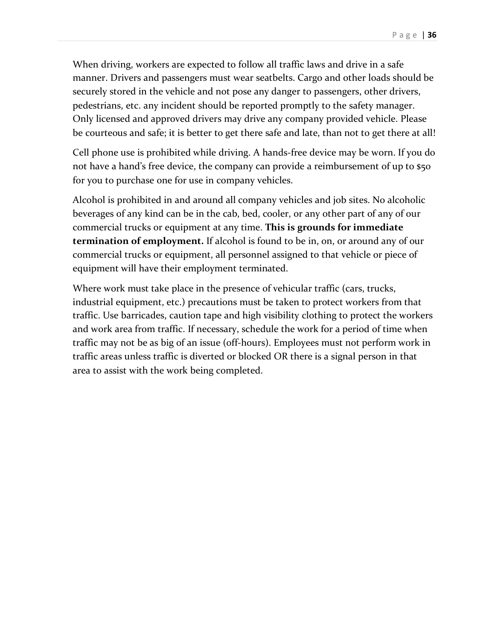When driving, workers are expected to follow all traffic laws and drive in a safe manner. Drivers and passengers must wear seatbelts. Cargo and other loads should be securely stored in the vehicle and not pose any danger to passengers, other drivers, pedestrians, etc. any incident should be reported promptly to the safety manager. Only licensed and approved drivers may drive any company provided vehicle. Please be courteous and safe; it is better to get there safe and late, than not to get there at all!

Cell phone use is prohibited while driving. A hands-free device may be worn. If you do not have a hand's free device, the company can provide a reimbursement of up to \$50 for you to purchase one for use in company vehicles.

Alcohol is prohibited in and around all company vehicles and job sites. No alcoholic beverages of any kind can be in the cab, bed, cooler, or any other part of any of our commercial trucks or equipment at any time. **This is grounds for immediate termination of employment.** If alcohol is found to be in, on, or around any of our commercial trucks or equipment, all personnel assigned to that vehicle or piece of equipment will have their employment terminated.

Where work must take place in the presence of vehicular traffic (cars, trucks, industrial equipment, etc.) precautions must be taken to protect workers from that traffic. Use barricades, caution tape and high visibility clothing to protect the workers and work area from traffic. If necessary, schedule the work for a period of time when traffic may not be as big of an issue (off-hours). Employees must not perform work in traffic areas unless traffic is diverted or blocked OR there is a signal person in that area to assist with the work being completed.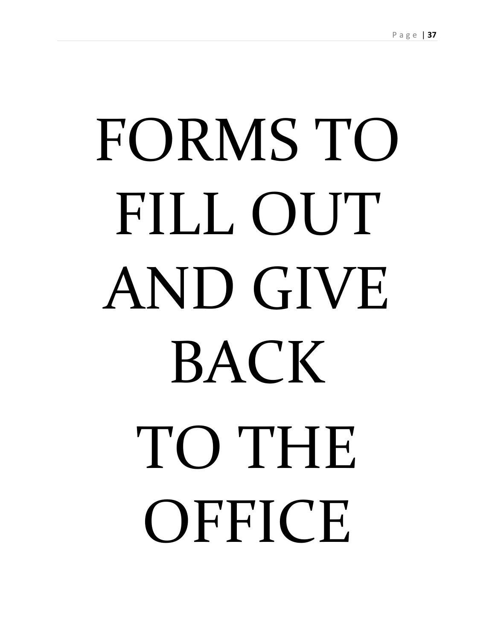# FORMS TO FILL OUT AND GIVE **BACK** TO THE **OFFICE**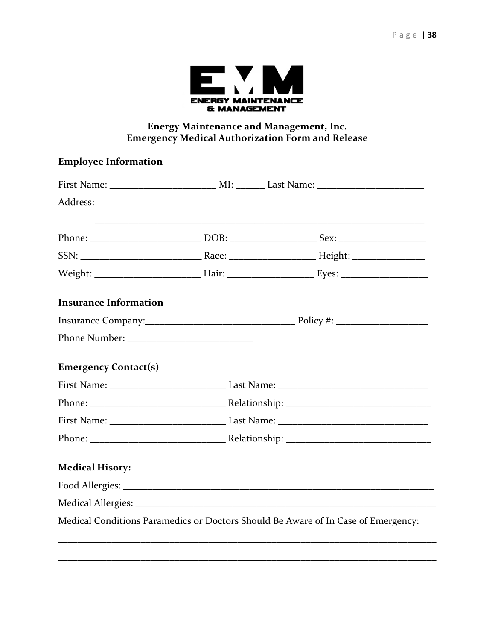

#### **Energy Maintenance and Management, Inc. Emergency Medical Authorization Form and Release**

#### **Employee Information**

| <b>Insurance Information</b>                                                      |  |  |  |  |
|-----------------------------------------------------------------------------------|--|--|--|--|
|                                                                                   |  |  |  |  |
|                                                                                   |  |  |  |  |
| <b>Emergency Contact(s)</b>                                                       |  |  |  |  |
|                                                                                   |  |  |  |  |
|                                                                                   |  |  |  |  |
|                                                                                   |  |  |  |  |
|                                                                                   |  |  |  |  |
| <b>Medical Hisory:</b>                                                            |  |  |  |  |
|                                                                                   |  |  |  |  |
|                                                                                   |  |  |  |  |
| Medical Conditions Paramedics or Doctors Should Be Aware of In Case of Emergency: |  |  |  |  |
|                                                                                   |  |  |  |  |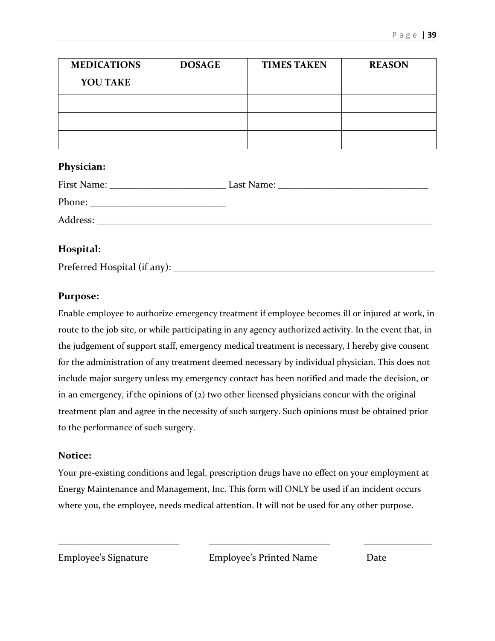| <b>MEDICATIONS</b> | <b>DOSAGE</b> | <b>TIMES TAKEN</b> | <b>REASON</b> |
|--------------------|---------------|--------------------|---------------|
| <b>YOU TAKE</b>    |               |                    |               |
|                    |               |                    |               |
|                    |               |                    |               |
|                    |               |                    |               |

#### **Physician:**

| First Name: | Last Name:<br><u> 1980 - Jan Stein Stein Stein Stein Stein Stein Stein Stein Stein Stein Stein Stein Stein Stein Stein Stein S</u> |
|-------------|------------------------------------------------------------------------------------------------------------------------------------|
| Phone:      |                                                                                                                                    |
| Address:    |                                                                                                                                    |
|             |                                                                                                                                    |

#### **Hospital:**

Preferred Hospital (if any): \_\_\_\_\_\_\_\_\_\_\_\_\_\_\_\_\_\_\_\_\_\_\_\_\_\_\_\_\_\_\_\_\_\_\_\_\_\_\_\_\_\_\_\_\_\_\_\_\_\_\_\_\_\_

#### **Purpose:**

Enable employee to authorize emergency treatment if employee becomes ill or injured at work, in route to the job site, or while participating in any agency authorized activity. In the event that, in the judgement of support staff, emergency medical treatment is necessary, I hereby give consent for the administration of any treatment deemed necessary by individual physician. This does not include major surgery unless my emergency contact has been notified and made the decision, or in an emergency, if the opinions of (2) two other licensed physicians concur with the original treatment plan and agree in the necessity of such surgery. Such opinions must be obtained prior to the performance of such surgery.

#### **Notice:**

Your pre-existing conditions and legal, prescription drugs have no effect on your employment at Energy Maintenance and Management, Inc. This form will ONLY be used if an incident occurs where you, the employee, needs medical attention. It will not be used for any other purpose.

\_\_\_\_\_\_\_\_\_\_\_\_\_\_\_\_\_\_\_\_\_\_\_\_\_ \_\_\_\_\_\_\_\_\_\_\_\_\_\_\_\_\_\_\_\_\_\_\_\_\_ \_\_\_\_\_\_\_\_\_\_\_\_\_\_

Employee's Signature Employee's Printed Name Date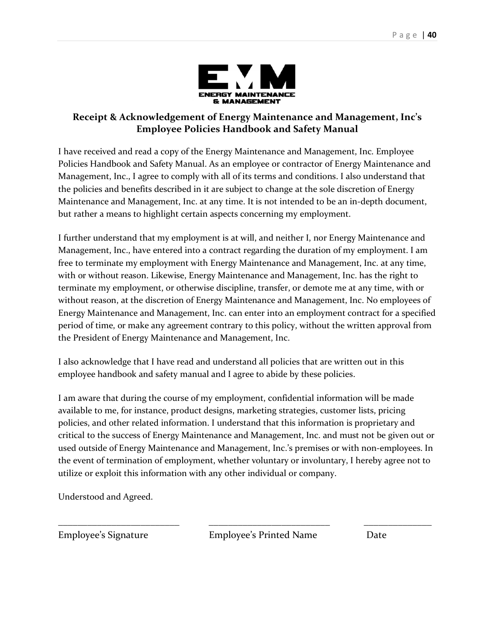

#### **Receipt & Acknowledgement of Energy Maintenance and Management, Inc's Employee Policies Handbook and Safety Manual**

I have received and read a copy of the Energy Maintenance and Management, Inc. Employee Policies Handbook and Safety Manual. As an employee or contractor of Energy Maintenance and Management, Inc., I agree to comply with all of its terms and conditions. I also understand that the policies and benefits described in it are subject to change at the sole discretion of Energy Maintenance and Management, Inc. at any time. It is not intended to be an in-depth document, but rather a means to highlight certain aspects concerning my employment.

I further understand that my employment is at will, and neither I, nor Energy Maintenance and Management, Inc., have entered into a contract regarding the duration of my employment. I am free to terminate my employment with Energy Maintenance and Management, Inc. at any time, with or without reason. Likewise, Energy Maintenance and Management, Inc. has the right to terminate my employment, or otherwise discipline, transfer, or demote me at any time, with or without reason, at the discretion of Energy Maintenance and Management, Inc. No employees of Energy Maintenance and Management, Inc. can enter into an employment contract for a specified period of time, or make any agreement contrary to this policy, without the written approval from the President of Energy Maintenance and Management, Inc.

I also acknowledge that I have read and understand all policies that are written out in this employee handbook and safety manual and I agree to abide by these policies.

I am aware that during the course of my employment, confidential information will be made available to me, for instance, product designs, marketing strategies, customer lists, pricing policies, and other related information. I understand that this information is proprietary and critical to the success of Energy Maintenance and Management, Inc. and must not be given out or used outside of Energy Maintenance and Management, Inc.'s premises or with non-employees. In the event of termination of employment, whether voluntary or involuntary, I hereby agree not to utilize or exploit this information with any other individual or company.

\_\_\_\_\_\_\_\_\_\_\_\_\_\_\_\_\_\_\_\_\_\_\_\_\_ \_\_\_\_\_\_\_\_\_\_\_\_\_\_\_\_\_\_\_\_\_\_\_\_\_ \_\_\_\_\_\_\_\_\_\_\_\_\_\_

Understood and Agreed.

Employee's Signature Employee's Printed Name Date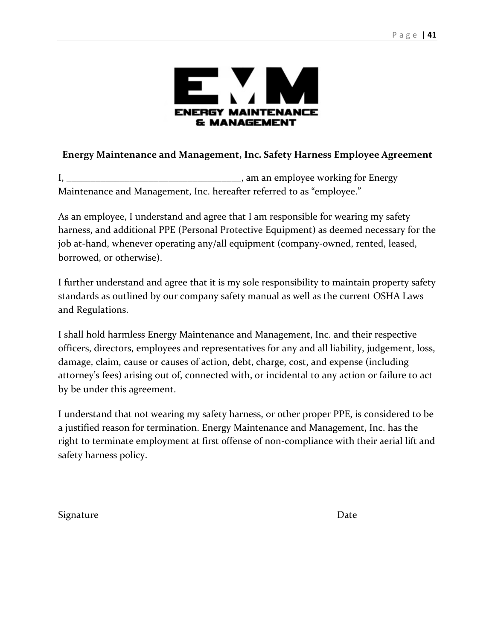

#### **Energy Maintenance and Management, Inc. Safety Harness Employee Agreement**

I, \_\_\_\_\_\_\_\_\_\_\_\_\_\_\_\_\_\_\_\_\_\_\_\_\_\_\_\_\_\_\_\_\_\_\_\_, am an employee working for Energy Maintenance and Management, Inc. hereafter referred to as "employee."

As an employee, I understand and agree that I am responsible for wearing my safety harness, and additional PPE (Personal Protective Equipment) as deemed necessary for the job at-hand, whenever operating any/all equipment (company-owned, rented, leased, borrowed, or otherwise).

I further understand and agree that it is my sole responsibility to maintain property safety standards as outlined by our company safety manual as well as the current OSHA Laws and Regulations.

I shall hold harmless Energy Maintenance and Management, Inc. and their respective officers, directors, employees and representatives for any and all liability, judgement, loss, damage, claim, cause or causes of action, debt, charge, cost, and expense (including attorney's fees) arising out of, connected with, or incidental to any action or failure to act by be under this agreement.

I understand that not wearing my safety harness, or other proper PPE, is considered to be a justified reason for termination. Energy Maintenance and Management, Inc. has the right to terminate employment at first offense of non-compliance with their aerial lift and safety harness policy.

\_\_\_\_\_\_\_\_\_\_\_\_\_\_\_\_\_\_\_\_\_\_\_\_\_\_\_\_\_\_\_\_\_\_\_\_\_ \_\_\_\_\_\_\_\_\_\_\_\_\_\_\_\_\_\_\_\_\_

Signature Date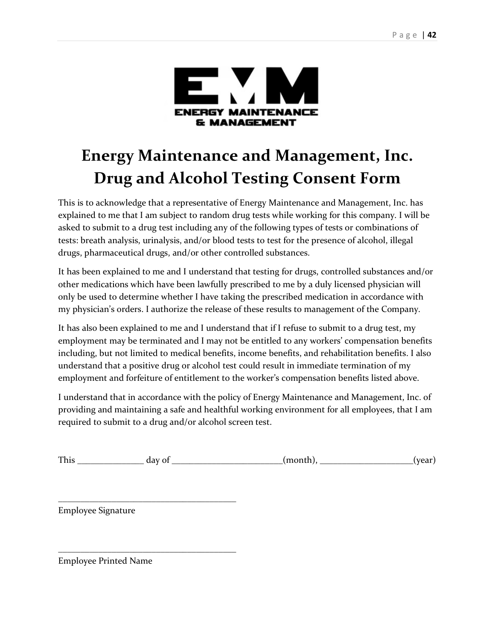

# **Energy Maintenance and Management, Inc. Drug and Alcohol Testing Consent Form**

This is to acknowledge that a representative of Energy Maintenance and Management, Inc. has explained to me that I am subject to random drug tests while working for this company. I will be asked to submit to a drug test including any of the following types of tests or combinations of tests: breath analysis, urinalysis, and/or blood tests to test for the presence of alcohol, illegal drugs, pharmaceutical drugs, and/or other controlled substances.

It has been explained to me and I understand that testing for drugs, controlled substances and/or other medications which have been lawfully prescribed to me by a duly licensed physician will only be used to determine whether I have taking the prescribed medication in accordance with my physician's orders. I authorize the release of these results to management of the Company.

It has also been explained to me and I understand that if I refuse to submit to a drug test, my employment may be terminated and I may not be entitled to any workers' compensation benefits including, but not limited to medical benefits, income benefits, and rehabilitation benefits. I also understand that a positive drug or alcohol test could result in immediate termination of my employment and forfeiture of entitlement to the worker's compensation benefits listed above.

I understand that in accordance with the policy of Energy Maintenance and Management, Inc. of providing and maintaining a safe and healthful working environment for all employees, that I am required to submit to a drug and/or alcohol screen test.

This day of  $\qquad \qquad$  (month),  $\qquad \qquad$  (year)

Employee Signature

\_\_\_\_\_\_\_\_\_\_\_\_\_\_\_\_\_\_\_\_\_\_\_\_\_\_\_\_\_\_\_\_\_\_\_\_\_\_\_\_

\_\_\_\_\_\_\_\_\_\_\_\_\_\_\_\_\_\_\_\_\_\_\_\_\_\_\_\_\_\_\_\_\_\_\_\_\_\_\_\_

Employee Printed Name